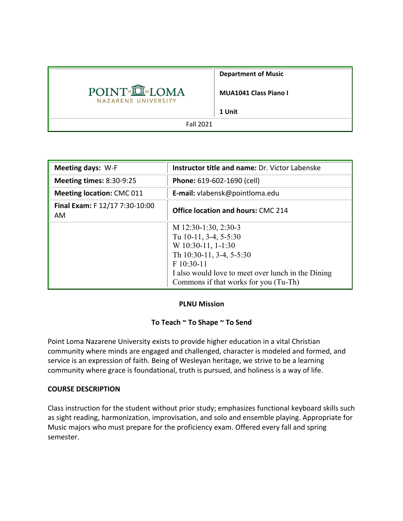|                                                 | <b>Department of Music</b>   |
|-------------------------------------------------|------------------------------|
| POINT <sup>®</sup> ILOMA<br>NAZARENE UNIVERSITY | <b>MUA1041 Class Piano I</b> |
|                                                 | 1 Unit                       |
| <b>Fall 2021</b>                                |                              |

| <b>Meeting days: W-F</b>              | <b>Instructor title and name: Dr. Victor Labenske</b>                                                                                                                                                          |  |  |
|---------------------------------------|----------------------------------------------------------------------------------------------------------------------------------------------------------------------------------------------------------------|--|--|
| <b>Meeting times: 8:30-9:25</b>       | Phone: 619-602-1690 (cell)                                                                                                                                                                                     |  |  |
| <b>Meeting location: CMC 011</b>      | E-mail: vlabensk@pointloma.edu                                                                                                                                                                                 |  |  |
| Final Exam: F 12/17 7:30-10:00<br>AM. | <b>Office location and hours: CMC 214</b>                                                                                                                                                                      |  |  |
|                                       | M 12:30-1:30, 2:30-3<br>Tu 10-11, 3-4, 5-5:30<br>$W$ 10:30-11, 1-1:30<br>Th 10:30-11, 3-4, 5-5:30<br>F 10:30-11<br>I also would love to meet over lunch in the Dining<br>Commons if that works for you (Tu-Th) |  |  |

### **PLNU Mission**

### **To Teach ~ To Shape ~ To Send**

Point Loma Nazarene University exists to provide higher education in a vital Christian community where minds are engaged and challenged, character is modeled and formed, and service is an expression of faith. Being of Wesleyan heritage, we strive to be a learning community where grace is foundational, truth is pursued, and holiness is a way of life.

### **COURSE DESCRIPTION**

Class instruction for the student without prior study; emphasizes functional keyboard skills such as sight reading, harmonization, improvisation, and solo and ensemble playing. Appropriate for Music majors who must prepare for the proficiency exam. Offered every fall and spring semester.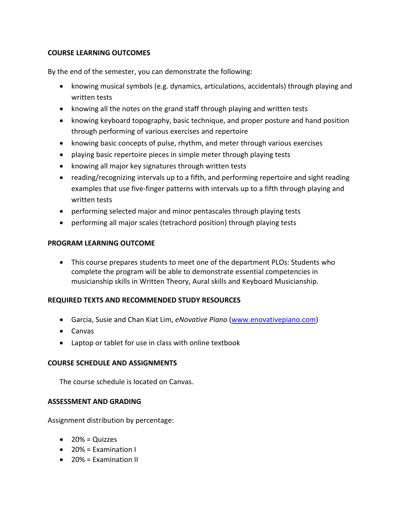### **COURSE LEARNING OUTCOMES**

By the end of the semester, you can demonstrate the following:

- knowing musical symbols (e.g. dynamics, articulations, accidentals) through playing and written tests
- knowing all the notes on the grand staff through playing and written tests
- knowing keyboard topography, basic technique, and proper posture and hand position through performing of various exercises and repertoire
- knowing basic concepts of pulse, rhythm, and meter through various exercises
- playing basic repertoire pieces in simple meter through playing tests
- knowing all major key signatures through written tests
- reading/recognizing intervals up to a fifth, and performing repertoire and sight reading examples that use five-finger patterns with intervals up to a fifth through playing and written tests
- performing selected major and minor pentascales through playing tests
- performing all major scales (tetrachord position) through playing tests

### **PROGRAM LEARNING OUTCOME**

• This course prepares students to meet one of the department PLOs: Students who complete the program will be able to demonstrate essential competencies in musicianship skills in Written Theory, Aural skills and Keyboard Musicianship.

# **REQUIRED TEXTS AND RECOMMENDED STUDY RESOURCES**

- Garcia, Susie and Chan Kiat Lim, *eNovative Piano* (www.enovativepiano.com)
- Canvas
- Laptop or tablet for use in class with online textbook

# **COURSE SCHEDULE AND ASSIGNMENTS**

The course schedule is located on Canvas.

### **ASSESSMENT AND GRADING**

Assignment distribution by percentage:

- $\bullet$  20% = Quizzes
- 20% = Examination I
- 20% = Examination II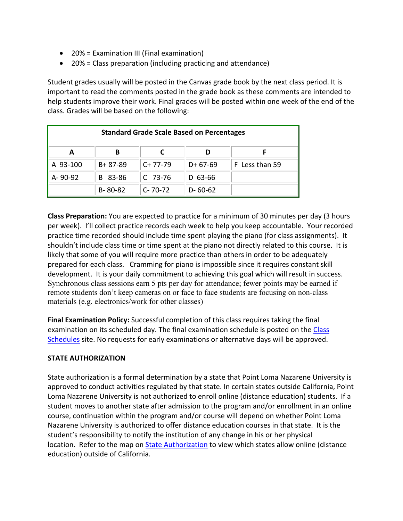- 20% = Examination III (Final examination)
- 20% = Class preparation (including practicing and attendance)

Student grades usually will be posted in the Canvas grade book by the next class period. It is important to read the comments posted in the grade book as these comments are intended to help students improve their work. Final grades will be posted within one week of the end of the class. Grades will be based on the following:

| <b>Standard Grade Scale Based on Percentages</b> |               |               |               |                |  |
|--------------------------------------------------|---------------|---------------|---------------|----------------|--|
| A                                                | В             |               |               |                |  |
| A 93-100                                         | $B + 87 - 89$ | $C+77-79$     | $D+67-69$     | F Less than 59 |  |
| A-90-92                                          | 83-86<br>B.   | $C$ 73-76     | $D$ 63-66     |                |  |
|                                                  | $B - 80 - 82$ | $C - 70 - 72$ | $D - 60 - 62$ |                |  |

**Class Preparation:** You are expected to practice for a minimum of 30 minutes per day (3 hours per week). I'll collect practice records each week to help you keep accountable. Your recorded practice time recorded should include time spent playing the piano (for class assignments). It shouldn't include class time or time spent at the piano not directly related to this course. It is likely that some of you will require more practice than others in order to be adequately prepared for each class. Cramming for piano is impossible since it requires constant skill development. It is your daily commitment to achieving this goal which will result in success. Synchronous class sessions earn 5 pts per day for attendance; fewer points may be earned if remote students don't keep cameras on or face to face students are focusing on non-class materials (e.g. electronics/work for other classes)

**Final Examination Policy:** Successful completion of this class requires taking the final examination on its scheduled day. The final examination schedule is posted on the Class Schedules site. No requests for early examinations or alternative days will be approved.

# **STATE AUTHORIZATION**

State authorization is a formal determination by a state that Point Loma Nazarene University is approved to conduct activities regulated by that state. In certain states outside California, Point Loma Nazarene University is not authorized to enroll online (distance education) students. If a student moves to another state after admission to the program and/or enrollment in an online course, continuation within the program and/or course will depend on whether Point Loma Nazarene University is authorized to offer distance education courses in that state. It is the student's responsibility to notify the institution of any change in his or her physical location. Refer to the map on State Authorization to view which states allow online (distance education) outside of California.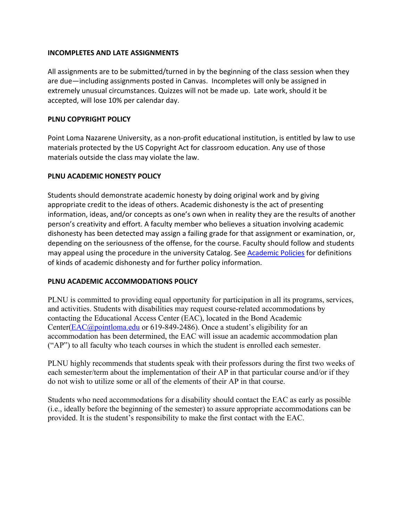### **INCOMPLETES AND LATE ASSIGNMENTS**

All assignments are to be submitted/turned in by the beginning of the class session when they are due—including assignments posted in Canvas. Incompletes will only be assigned in extremely unusual circumstances. Quizzes will not be made up. Late work, should it be accepted, will lose 10% per calendar day.

# **PLNU COPYRIGHT POLICY**

Point Loma Nazarene University, as a non-profit educational institution, is entitled by law to use materials protected by the US Copyright Act for classroom education. Any use of those materials outside the class may violate the law.

# **PLNU ACADEMIC HONESTY POLICY**

Students should demonstrate academic honesty by doing original work and by giving appropriate credit to the ideas of others. Academic dishonesty is the act of presenting information, ideas, and/or concepts as one's own when in reality they are the results of another person's creativity and effort. A faculty member who believes a situation involving academic dishonesty has been detected may assign a failing grade for that assignment or examination, or, depending on the seriousness of the offense, for the course. Faculty should follow and students may appeal using the procedure in the university Catalog. See Academic Policies for definitions of kinds of academic dishonesty and for further policy information.

# **PLNU ACADEMIC ACCOMMODATIONS POLICY**

PLNU is committed to providing equal opportunity for participation in all its programs, services, and activities. Students with disabilities may request course-related accommodations by contacting the Educational Access Center (EAC), located in the Bond Academic Center(EAC@pointloma.edu or 619-849-2486). Once a student's eligibility for an accommodation has been determined, the EAC will issue an academic accommodation plan ("AP") to all faculty who teach courses in which the student is enrolled each semester.

PLNU highly recommends that students speak with their professors during the first two weeks of each semester/term about the implementation of their AP in that particular course and/or if they do not wish to utilize some or all of the elements of their AP in that course.

Students who need accommodations for a disability should contact the EAC as early as possible (i.e., ideally before the beginning of the semester) to assure appropriate accommodations can be provided. It is the student's responsibility to make the first contact with the EAC.